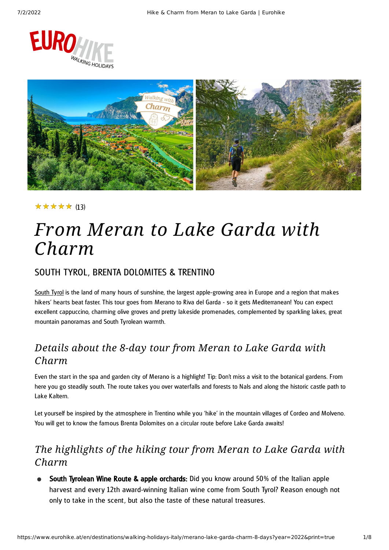



### ★★★★★ (13)

## *From Meran to Lake Garda with Charm*

### SOUTH TYROL, BRENTA DOLOMITES & TRENTINO

[South](https://www.eurohike.at/en/destinations/walking-holidays-italy/south-tyrol) Tyrol is the land of many hours of sunshine, the largest apple-growing area in Europe and a region that makes hikers' hearts beat faster. This tour goes from Merano to Riva del Garda - so it gets Mediterranean! You can expect excellent cappuccino, charming olive groves and pretty lakeside promenades, complemented by sparkling lakes, great mountain panoramas and South Tyrolean warmth.

### *Details about the 8-day tour from Meran to Lake Garda with Charm*

Even the start in the spa and garden city of Merano is a highlight! Tip: Don't miss a visit to the botanical gardens. From here you go steadily south. The route takes you over waterfalls and forests to Nals and along the historic castle path to Lake Kaltern.

Let yourself be inspired by the atmosphere in Trentino while you 'hike' in the mountain villages of Cordeo and Molveno. You will get to know the famous Brenta Dolomites on a circular route before Lake Garda awaits!

### *The highlights of the hiking tour from Meran to Lake Garda with Charm*

South Tyrolean Wine Route & apple orchards: Did you know around 50% of the Italian apple harvest and every 12th award-winning Italian wine come from South Tyrol? Reason enough not only to take in the scent, but also the taste of these natural treasures.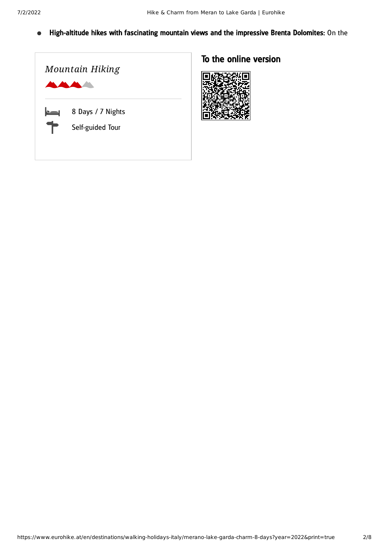High-altitude hikes with fascinating mountain views and the impressive Brenta Dolomites: On the  $\bullet$ 



### To the online version

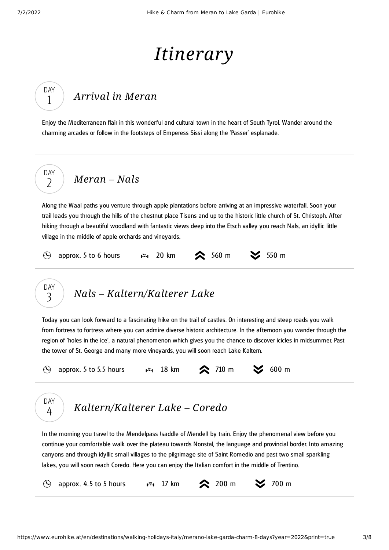# *Itinerary*

## *[Arrival](#page-2-0) in Meran*

<span id="page-2-0"></span>Enjoy the Mediterranean flair in this wonderful and cultural town in the heart of South Tyrol. Wander around the charming arcades or follow in the footsteps of Emperess Sissi along the 'Passer' esplanade.

DAY  $\overline{\phantom{0}}$ 

DAY 1

*[Meran](#page-2-1) – Nals*

<span id="page-2-1"></span>Along the Waal paths you venture through apple plantations before arriving at an impressive waterfall. Soon your trail leads you through the hills of the chestnut place Tisens and up to the historic little church of St. Christoph. After hiking through a beautiful woodland with fantastic views deep into the Etsch valley you reach Nals, an idyllic little village in the middle of apple orchards and vineyards.

| $\circled{S}$ approx. 5 to 6 hours $\bullet$ $\bullet$ 1 20 km $\bullet$ 560 m $\bullet$ 550 m |  |  |  |
|------------------------------------------------------------------------------------------------|--|--|--|
|                                                                                                |  |  |  |



<span id="page-2-2"></span>Today you can look forward to a fascinating hike on the trail of castles. On interesting and steep roads you walk from fortress to fortress where you can admire diverse historic architecture. In the afternoon you wander through the region of 'holes in the ice', a natural phenomenon which gives you the chance to discover icicles in midsummer. Past the tower of St. George and many more vineyards, you will soon reach Lake Kaltern.





### *[Kaltern/Kalterer](#page-2-3) Lake – Coredo*

<span id="page-2-3"></span>In the morning you travel to the Mendelpass (saddle of Mendel) by train. Enjoy the phenomenal view before you continue your comfortable walk over the plateau towards Nonstal, the language and provincial border. Into amazing canyons and through idyllic small villages to the pilgrimage site of Saint Romedio and past two small sparkling lakes, you will soon reach Coredo. Here you can enjoy the Italian comfort in the middle of Trentino.

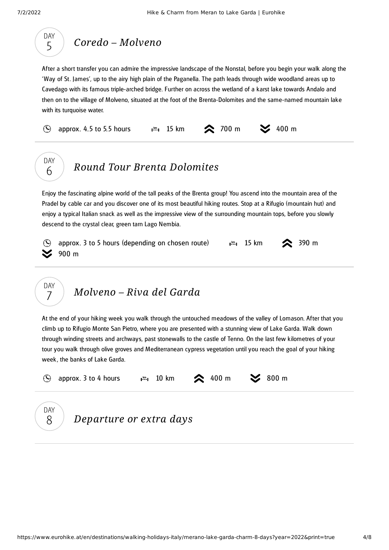

### *Coredo – [Molveno](#page-3-0)*

<span id="page-3-0"></span>After a short transfer you can admire the impressive landscape of the Nonstal, before you begin your walk along the 'Way of St. James', up to the airy high plain of the Paganella. The path leads through wide woodland areas up to Cavedago with its famous triple-arched bridge. Further on across the wetland of a karst lake towards Andalo and then on to the village of Molveno, situated at the foot of the Brenta-Dolomites and the same-named mountain lake with its turquoise water.

approx. 4.5 to 5.5 hours 1.  $\frac{1}{2}$  15 km  $\frac{1}{2}$  700 m  $\frac{1}{2}$  400 m  $\Omega$ 



DAY 7

## *Round Tour Brenta [Dolomites](#page-3-1)*

<span id="page-3-1"></span>Enjoy the fascinating alpine world of the tall peaks of the Brenta group! You ascend into the mountain area of the Pradel by cable car and you discover one of its most beautiful hiking routes. Stop at a Rifugio (mountain hut) and enjoy a typical Italian snack as well as the impressive view of the surrounding mountain tops, before you slowly descend to the crystal clear, green tarn Lago Nembia.





<span id="page-3-2"></span>At the end of your hiking week you walk through the untouched meadows of the valley of Lomason. After that you climb up to Rifugio Monte San Pietro, where you are presented with a stunning view of Lake Garda. Walk down through winding streets and archways, past stonewalls to the castle of Tenno. On the last few kilometres of your tour you walk through olive groves and Mediterranean cypress vegetation until you reach the goal of your hiking week , the banks of Lake Garda.

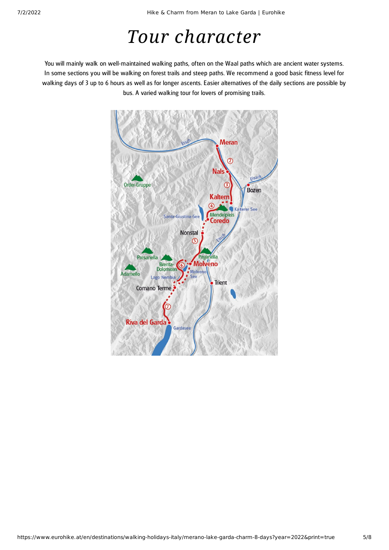## *Tour character*

You will mainly walk on well-maintained walking paths, often on the Waal paths which are ancient water systems. In some sections you will be walking on forest trails and steep paths. We recommend a good basic fitness level for walking days of 3 up to 6 hours as well as for longer ascents. Easier alternatives of the daily sections are possible by bus. A varied walking tour for lovers of promising trails.

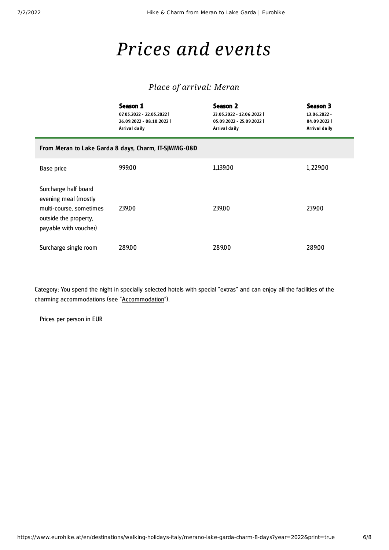## *Prices and events*

### *Place of arrival: Meran*

|                                                                                                                           | Season 1<br>07.05.2022 - 22.05.2022  <br>26.09.2022 - 08.10.2022  <br>Arrival daily | Season 2<br>23.05.2022 - 12.06.2022  <br>05.09.2022 - 25.09.2022  <br>Arrival daily | Season 3<br>13.06.2022 -<br>04.09.2022<br>Arrival daily |  |  |  |  |
|---------------------------------------------------------------------------------------------------------------------------|-------------------------------------------------------------------------------------|-------------------------------------------------------------------------------------|---------------------------------------------------------|--|--|--|--|
| From Meran to Lake Garda 8 days, Charm, IT-SJWMG-08D                                                                      |                                                                                     |                                                                                     |                                                         |  |  |  |  |
| Base price                                                                                                                | 999.00                                                                              | 1,139.00                                                                            | 1,229.00                                                |  |  |  |  |
| Surcharge half board<br>evening meal (mostly<br>multi-course, sometimes<br>outside the property,<br>payable with voucher) | 239.00                                                                              | 239.00                                                                              | 239.00                                                  |  |  |  |  |
| Surcharge single room                                                                                                     | 289.00                                                                              | 289.00                                                                              | 289.00                                                  |  |  |  |  |

Category: You spend the night in specially selected hotels with special "extras" and can enjoy all the facilities of the charming accommodations (see "[Accommodation"](https://www.eurohike.at/en/destinations/walking-holidays-italy/merano-lake-garda-charm-8-days#tourAccommodation)).

Prices per person in EUR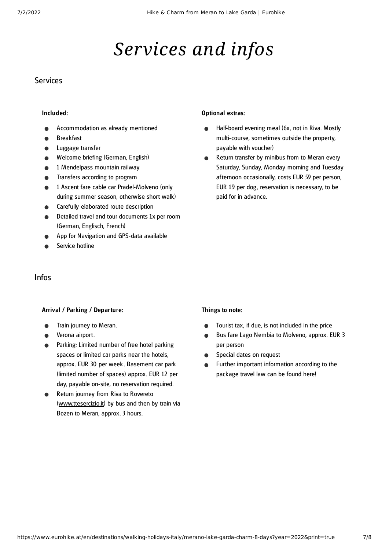## *Services and infos*

#### **Services**

#### Included:

- Accommodation as already mentioned
- Breakfast
- Luggage transfer
- Welcome briefing (German, English)
- 1 Mendelpass mountain railway
- Transfers according to program
- 1 Ascent fare cable car Pradel-Molveno (only during summer season, otherwise short walk)
- Carefully elaborated route description
- Detailed travel and tour documents 1x per room (German, Englisch, French)
- App for Navigation and GPS-data available
- Service hotline

#### Infos

#### Arrival / Parking / Departure:

- Train journey to Meran.
- Verona airport.
- Parking: Limited number of free hotel parking spaces or limited car parks near the hotels, approx. EUR 30 per week . Basement car park (limited number of spaces) approx. EUR 12 per day, payable on-site, no reservation required.
- Return journey from Riva to Rovereto ([www.ttesercizio.it](http://www.ttesercizio.it/)) by bus and then by train via Bozen to Meran, approx. 3 hours.

#### Optional extras:

- Half-board evening meal (6x, not in Riva. Mostly  $\bullet$ multi-course, sometimes outside the property, payable with voucher)
- Return transfer by minibus from to Meran every  $\bullet$ Saturday, Sunday, Monday morning and Tuesday afternoon occasionally, costs EUR 59 per person, EUR 19 per dog , reservation is necessary, to be paid for in advance.

#### Things to note:

- Tourist tax, if due, is not included in the price
- Bus fare Lago Nembia to Molveno, approx. EUR 3 per person
- Special dates on request  $\bullet$
- Further important information according to the package travel law can be found [here](https://www.eurohike.at/en/travel-information/before-the-tour/pci)!